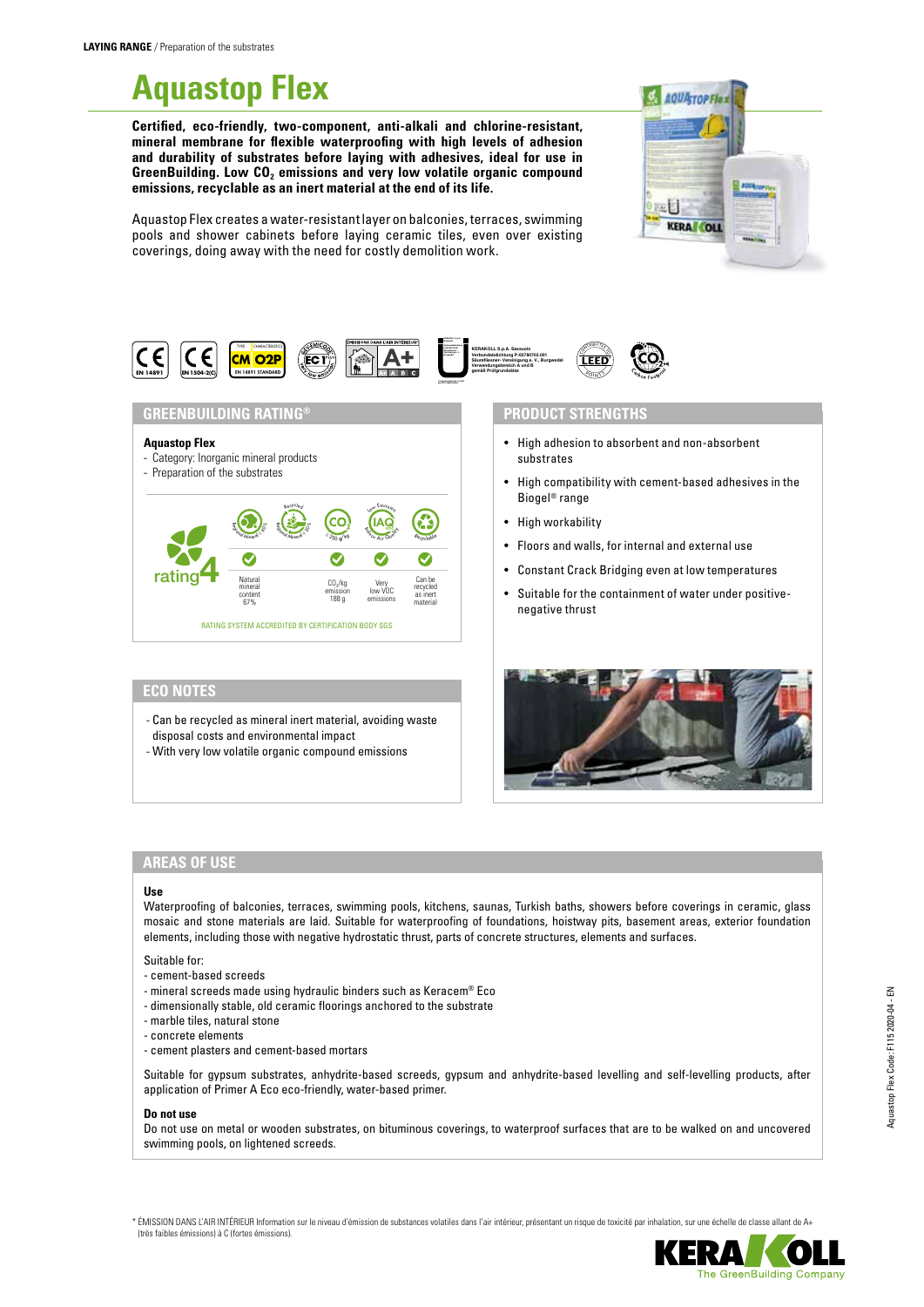# **Aquastop Flex**

**Certified, eco-friendly, two-component, anti-alkali and chlorine-resistant, mineral membrane for flexible waterproofing with high levels of adhesion and durability of substrates before laying with adhesives, ideal for use in**  GreenBuilding. Low CO<sub>2</sub> emissions and very low volatile organic compound **emissions, recyclable as an inert material at the end of its life.**



Aquastop Flex creates a water-resistant layer on balconies, terraces, swimming pools and shower cabinets before laying ceramic tiles, even over existing coverings, doing away with the need for costly demolition work.



#### **GREENBUILDING RATING®**

#### **Aquastop Flex**

- Category: Inorganic mineral products

# - Preparation of the substrates



# **ECO NOTES**

- Can be recycled as mineral inert material, avoiding waste disposal costs and environmental impact
- With very low volatile organic compound emissions

#### **PRODUCT STRENGTHS**

- High adhesion to absorbent and non-absorbent substrates
- High compatibility with cement-based adhesives in the Biogel® range
- High workability
- Floors and walls, for internal and external use
- Constant Crack Bridging even at low temperatures
- Suitable for the containment of water under positivenegative thrust



## **AREAS OF USE**

#### **Use**

Waterproofing of balconies, terraces, swimming pools, kitchens, saunas, Turkish baths, showers before coverings in ceramic, glass mosaic and stone materials are laid. Suitable for waterproofing of foundations, hoistway pits, basement areas, exterior foundation elements, including those with negative hydrostatic thrust, parts of concrete structures, elements and surfaces.

#### Suitable for:

- cement-based screeds
- mineral screeds made using hydraulic binders such as Keracem® Eco
- dimensionally stable, old ceramic floorings anchored to the substrate
- marble tiles, natural stone
- concrete elements
- cement plasters and cement-based mortars

Suitable for gypsum substrates, anhydrite-based screeds, gypsum and anhydrite-based levelling and self-levelling products, after application of Primer A Eco eco-friendly, water-based primer.

#### **Do not use**

Do not use on metal or wooden substrates, on bituminous coverings, to waterproof surfaces that are to be walked on and uncovered swimming pools, on lightened screeds.

\* ÉMISSION DANS L'AIR INTÉRIEUR Information sur le niveau d'émission de substances volatiles dans l'air intérieur, présentant un risque de toxicité par inhalation, sur une échelle de classe allant de A+ (très faibles émissions) à C (fortes émissions).

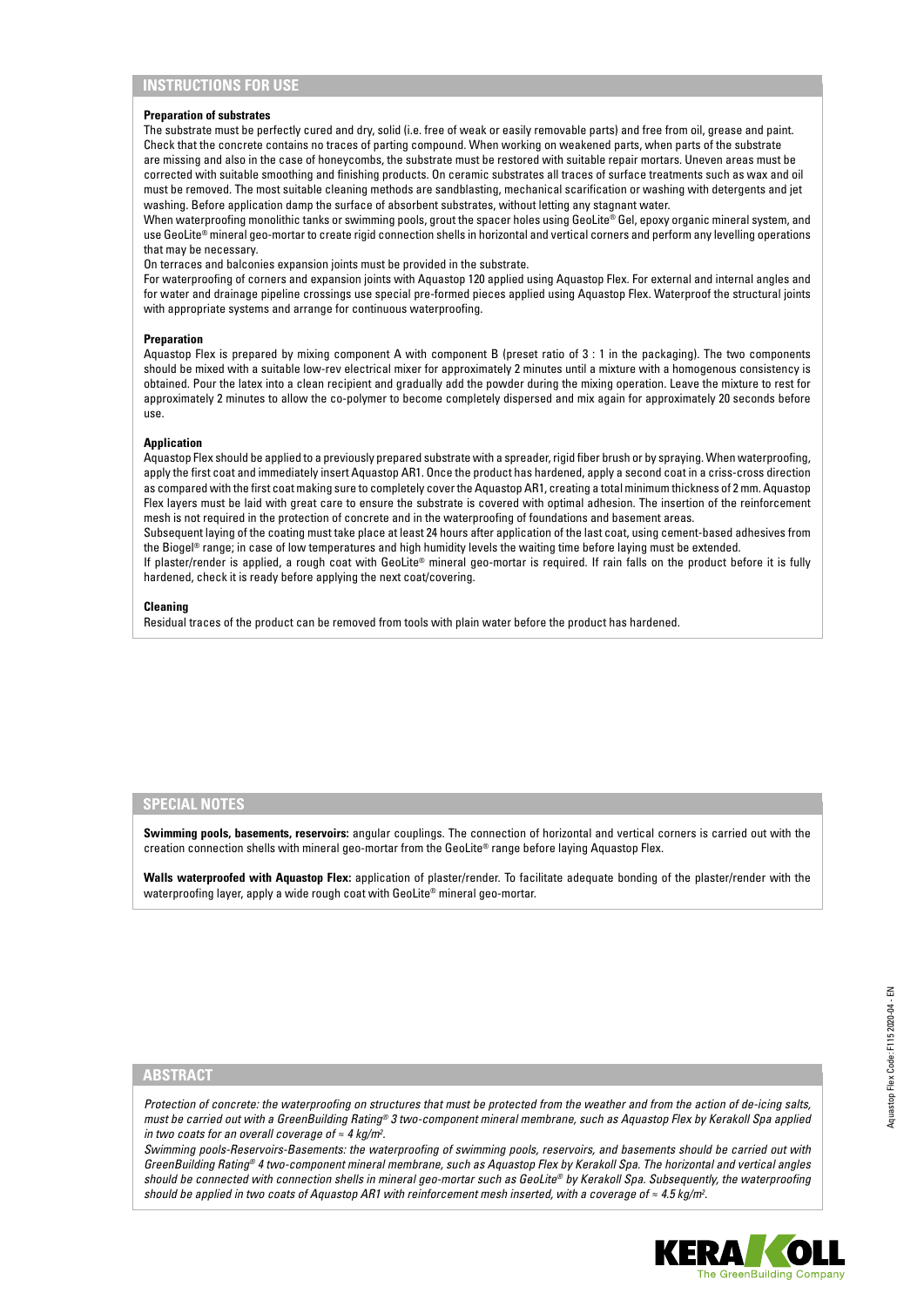#### **Preparation of substrates**

The substrate must be perfectly cured and dry, solid (i.e. free of weak or easily removable parts) and free from oil, grease and paint. Check that the concrete contains no traces of parting compound. When working on weakened parts, when parts of the substrate are missing and also in the case of honeycombs, the substrate must be restored with suitable repair mortars. Uneven areas must be corrected with suitable smoothing and finishing products. On ceramic substrates all traces of surface treatments such as wax and oil must be removed. The most suitable cleaning methods are sandblasting, mechanical scarification or washing with detergents and jet washing. Before application damp the surface of absorbent substrates, without letting any stagnant water.

When waterproofing monolithic tanks or swimming pools, grout the spacer holes using GeoLite® Gel, epoxy organic mineral system, and use GeoLite® mineral geo-mortar to create rigid connection shells in horizontal and vertical corners and perform any levelling operations that may be necessary.

On terraces and balconies expansion joints must be provided in the substrate.

For waterproofing of corners and expansion joints with Aquastop 120 applied using Aquastop Flex. For external and internal angles and for water and drainage pipeline crossings use special pre-formed pieces applied using Aquastop Flex. Waterproof the structural joints with appropriate systems and arrange for continuous waterproofing.

#### **Preparation**

Aquastop Flex is prepared by mixing component A with component B (preset ratio of 3 : 1 in the packaging). The two components should be mixed with a suitable low-rev electrical mixer for approximately 2 minutes until a mixture with a homogenous consistency is obtained. Pour the latex into a clean recipient and gradually add the powder during the mixing operation. Leave the mixture to rest for approximately 2 minutes to allow the co-polymer to become completely dispersed and mix again for approximately 20 seconds before use.

#### **Application**

Aquastop Flex should be applied to a previously prepared substrate with a spreader, rigid fiber brush or by spraying. When waterproofing, apply the first coat and immediately insert Aquastop AR1. Once the product has hardened, apply a second coat in a criss-cross direction as compared with the first coat making sure to completely cover the Aquastop AR1, creating a total minimum thickness of 2 mm. Aquastop Flex layers must be laid with great care to ensure the substrate is covered with optimal adhesion. The insertion of the reinforcement mesh is not required in the protection of concrete and in the waterproofing of foundations and basement areas.

Subsequent laying of the coating must take place at least 24 hours after application of the last coat, using cement-based adhesives from the Biogel® range; in case of low temperatures and high humidity levels the waiting time before laying must be extended.

If plaster/render is applied, a rough coat with GeoLite® mineral geo-mortar is required. If rain falls on the product before it is fully hardened, check it is ready before applying the next coat/covering.

#### **Cleaning**

Residual traces of the product can be removed from tools with plain water before the product has hardened.

#### **SPECIAL NOTES**

**Swimming pools, basements, reservoirs:** angular couplings. The connection of horizontal and vertical corners is carried out with the creation connection shells with mineral geo-mortar from the GeoLite® range before laying Aquastop Flex.

**Walls waterproofed with Aquastop Flex:** application of plaster/render. To facilitate adequate bonding of the plaster/render with the waterproofing layer, apply a wide rough coat with GeoLite® mineral geo-mortar.

### **ABSTRACT**

*Protection of concrete: the waterproofing on structures that must be protected from the weather and from the action of de-icing salts, must be carried out with a GreenBuilding Rating® 3 two-component mineral membrane, such as Aquastop Flex by Kerakoll Spa applied in two coats for an overall coverage of ≈ 4 kg/m2 .*

*Swimming pools-Reservoirs-Basements: the waterproofing of swimming pools, reservoirs, and basements should be carried out with GreenBuilding Rating® 4 two-component mineral membrane, such as Aquastop Flex by Kerakoll Spa. The horizontal and vertical angles should be connected with connection shells in mineral geo-mortar such as GeoLite® by Kerakoll Spa. Subsequently, the waterproofing should be applied in two coats of Aquastop AR1 with reinforcement mesh inserted, with a coverage of ≈ 4.5 kg/m2 .*